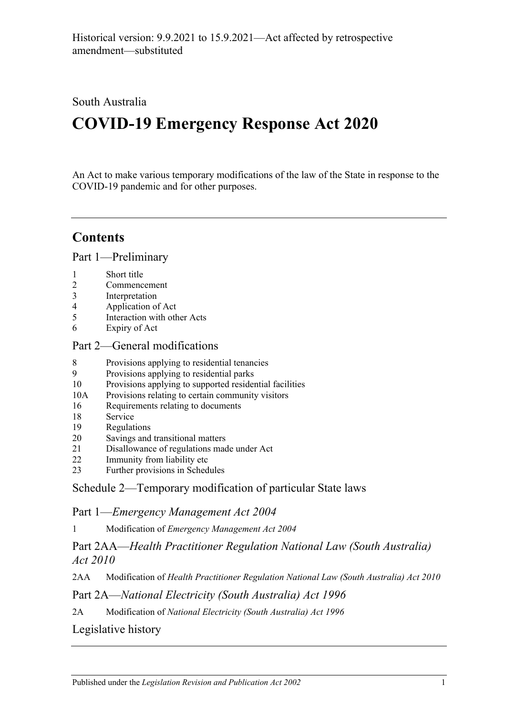## South Australia

# **COVID-19 Emergency Response Act 2020**

An Act to make various temporary modifications of the law of the State in response to the COVID-19 pandemic and for other purposes.

## **Contents**

Part [1—Preliminary](#page-1-0)

- 1 [Short title](#page-1-1)
- 2 [Commencement](#page-1-2)
- 3 [Interpretation](#page-1-3)
- 4 [Application of Act](#page-1-4)
- 5 [Interaction with other Acts](#page-1-5)
- 6 [Expiry of Act](#page-1-6)

#### Part [2—General modifications](#page-2-0)

- 8 [Provisions applying to residential tenancies](#page-2-1)
- 9 [Provisions applying to residential parks](#page-5-0)
- 10 [Provisions applying to supported residential facilities](#page-5-1)
- 10A [Provisions relating to certain community visitors](#page-7-0)
- 16 [Requirements relating to documents](#page-8-0)
- 18 [Service](#page-9-0)
- 19 [Regulations](#page-9-1)
- 20 [Savings and transitional matters](#page-10-0)
- 21 [Disallowance of regulations made under Act](#page-11-0)
- 22 [Immunity from liability etc](#page-11-1)
- 23 [Further provisions in Schedules](#page-12-0)

### Schedule [2—Temporary modification of particular State laws](#page-12-1)

### Part 1—*Emergency Management Act 2004*

1 Modification of *[Emergency Management Act](#page-12-2) 2004*

## Part 2AA—*Health Practitioner Regulation National Law (South Australia) Act 2010*

2AA Modification of *[Health Practitioner Regulation National Law \(South Australia\) Act](#page-14-0) 2010*

### Part 2A—*National Electricity (South Australia) Act 1996*

2A Modification of *[National Electricity \(South Australia\) Act](#page-14-1) 1996*

## [Legislative history](#page-15-0)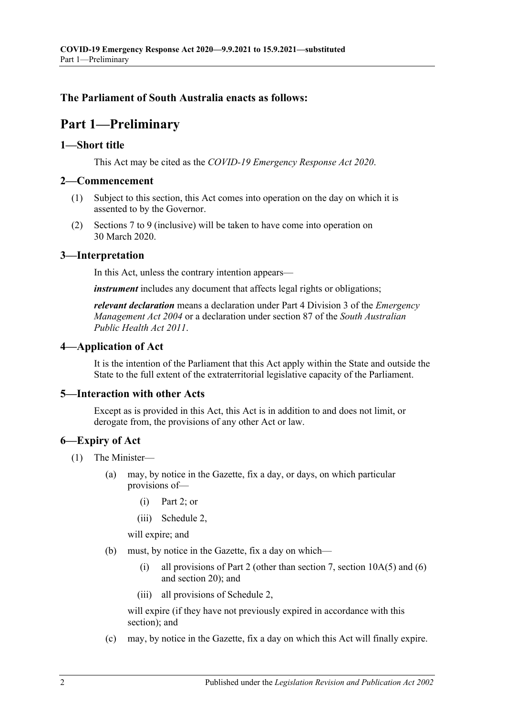#### <span id="page-1-0"></span>**The Parliament of South Australia enacts as follows:**

## **Part 1—Preliminary**

#### <span id="page-1-1"></span>**1—Short title**

This Act may be cited as the *COVID-19 Emergency Response Act 2020*.

#### <span id="page-1-2"></span>**2—Commencement**

- (1) Subject to this section, this Act comes into operation on the day on which it is assented to by the Governor.
- (2) Sections 7 to 9 (inclusive) will be taken to have come into operation on 30 March 2020.

#### <span id="page-1-3"></span>**3—Interpretation**

In this Act, unless the contrary intention appears—

*instrument* includes any document that affects legal rights or obligations;

*relevant declaration* means a declaration under Part 4 Division 3 of the *[Emergency](http://www.legislation.sa.gov.au/index.aspx?action=legref&type=act&legtitle=Emergency%20Management%20Act%202004)  [Management Act](http://www.legislation.sa.gov.au/index.aspx?action=legref&type=act&legtitle=Emergency%20Management%20Act%202004) 2004* or a declaration under section 87 of the *[South Australian](http://www.legislation.sa.gov.au/index.aspx?action=legref&type=act&legtitle=South%20Australian%20Public%20Health%20Act%202011)  [Public Health Act](http://www.legislation.sa.gov.au/index.aspx?action=legref&type=act&legtitle=South%20Australian%20Public%20Health%20Act%202011) 2011*.

#### <span id="page-1-4"></span>**4—Application of Act**

It is the intention of the Parliament that this Act apply within the State and outside the State to the full extent of the extraterritorial legislative capacity of the Parliament.

#### <span id="page-1-5"></span>**5—Interaction with other Acts**

Except as is provided in this Act, this Act is in addition to and does not limit, or derogate from, the provisions of any other Act or law.

#### <span id="page-1-6"></span>**6—Expiry of Act**

- (1) The Minister—
	- (a) may, by notice in the Gazette, fix a day, or days, on which particular provisions of—
		- (i) [Part](#page-2-0) 2; or
		- (iii) [Schedule](#page-12-1) 2,

will expire; and

- <span id="page-1-7"></span>(b) must, by notice in the Gazette, fix a day on which—
	- (i) all provisions of [Part](#page-2-0) 2 (other than [section](#page-8-1) 7, section  $10A(5)$  and [\(6\)](#page-8-2) and [section](#page-10-0) 20); and
	- (iii) all provisions of [Schedule](#page-12-1) 2,

will expire (if they have not previously expired in accordance with this section); and

(c) may, by notice in the Gazette, fix a day on which this Act will finally expire.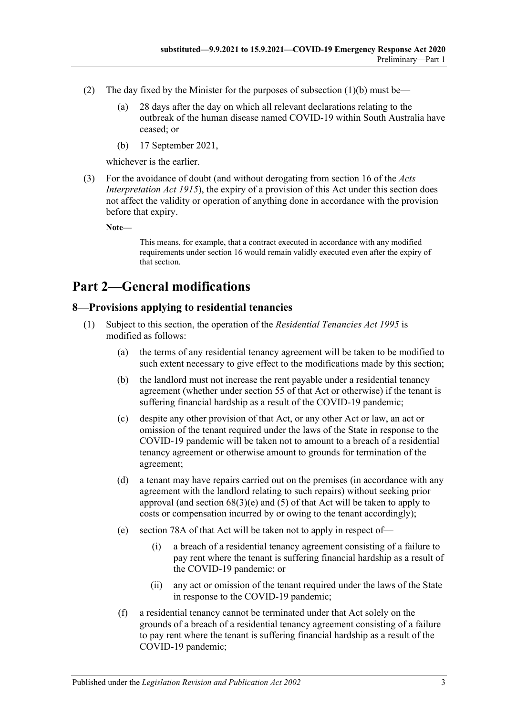- (2) The day fixed by the Minister for the purposes of [subsection](#page-1-7)  $(1)(b)$  must be—
	- (a) 28 days after the day on which all relevant declarations relating to the outbreak of the human disease named COVID-19 within South Australia have ceased; or
	- (b) 17 September 2021,

whichever is the earlier.

(3) For the avoidance of doubt (and without derogating from section 16 of the *[Acts](http://www.legislation.sa.gov.au/index.aspx?action=legref&type=act&legtitle=Acts%20Interpretation%20Act%201915)  [Interpretation Act](http://www.legislation.sa.gov.au/index.aspx?action=legref&type=act&legtitle=Acts%20Interpretation%20Act%201915) 1915*), the expiry of a provision of this Act under this section does not affect the validity or operation of anything done in accordance with the provision before that expiry.

**Note—**

This means, for example, that a contract executed in accordance with any modified requirements under [section](#page-8-0) 16 would remain validly executed even after the expiry of that section.

## <span id="page-2-0"></span>**Part 2—General modifications**

## <span id="page-2-1"></span>**8—Provisions applying to residential tenancies**

- (1) Subject to this section, the operation of the *[Residential Tenancies Act](http://www.legislation.sa.gov.au/index.aspx?action=legref&type=act&legtitle=Residential%20Tenancies%20Act%201995) 1995* is modified as follows:
	- (a) the terms of any residential tenancy agreement will be taken to be modified to such extent necessary to give effect to the modifications made by this section;
	- (b) the landlord must not increase the rent payable under a residential tenancy agreement (whether under section 55 of that Act or otherwise) if the tenant is suffering financial hardship as a result of the COVID-19 pandemic;
	- (c) despite any other provision of that Act, or any other Act or law, an act or omission of the tenant required under the laws of the State in response to the COVID-19 pandemic will be taken not to amount to a breach of a residential tenancy agreement or otherwise amount to grounds for termination of the agreement;
	- (d) a tenant may have repairs carried out on the premises (in accordance with any agreement with the landlord relating to such repairs) without seeking prior approval (and section  $68(3)(e)$  and  $(5)$  of that Act will be taken to apply to costs or compensation incurred by or owing to the tenant accordingly);
	- (e) section 78A of that Act will be taken not to apply in respect of—
		- (i) a breach of a residential tenancy agreement consisting of a failure to pay rent where the tenant is suffering financial hardship as a result of the COVID-19 pandemic; or
		- (ii) any act or omission of the tenant required under the laws of the State in response to the COVID-19 pandemic;
	- (f) a residential tenancy cannot be terminated under that Act solely on the grounds of a breach of a residential tenancy agreement consisting of a failure to pay rent where the tenant is suffering financial hardship as a result of the COVID-19 pandemic;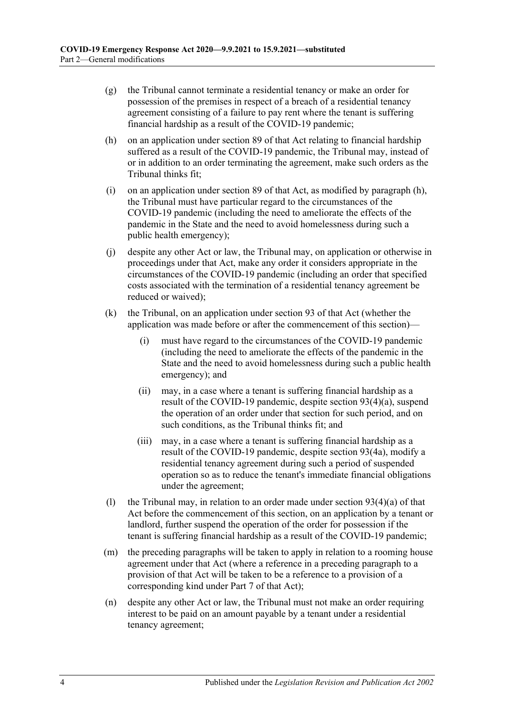- (g) the Tribunal cannot terminate a residential tenancy or make an order for possession of the premises in respect of a breach of a residential tenancy agreement consisting of a failure to pay rent where the tenant is suffering financial hardship as a result of the COVID-19 pandemic;
- <span id="page-3-0"></span>(h) on an application under section 89 of that Act relating to financial hardship suffered as a result of the COVID-19 pandemic, the Tribunal may, instead of or in addition to an order terminating the agreement, make such orders as the Tribunal thinks fit;
- (i) on an application under section 89 of that Act, as modified by [paragraph](#page-3-0) (h), the Tribunal must have particular regard to the circumstances of the COVID-19 pandemic (including the need to ameliorate the effects of the pandemic in the State and the need to avoid homelessness during such a public health emergency);
- (j) despite any other Act or law, the Tribunal may, on application or otherwise in proceedings under that Act, make any order it considers appropriate in the circumstances of the COVID-19 pandemic (including an order that specified costs associated with the termination of a residential tenancy agreement be reduced or waived);
- (k) the Tribunal, on an application under section 93 of that Act (whether the application was made before or after the commencement of this section)—
	- (i) must have regard to the circumstances of the COVID-19 pandemic (including the need to ameliorate the effects of the pandemic in the State and the need to avoid homelessness during such a public health emergency); and
	- (ii) may, in a case where a tenant is suffering financial hardship as a result of the COVID-19 pandemic, despite section 93(4)(a), suspend the operation of an order under that section for such period, and on such conditions, as the Tribunal thinks fit; and
	- (iii) may, in a case where a tenant is suffering financial hardship as a result of the COVID-19 pandemic, despite section 93(4a), modify a residential tenancy agreement during such a period of suspended operation so as to reduce the tenant's immediate financial obligations under the agreement;
- (1) the Tribunal may, in relation to an order made under section  $93(4)(a)$  of that Act before the commencement of this section, on an application by a tenant or landlord, further suspend the operation of the order for possession if the tenant is suffering financial hardship as a result of the COVID-19 pandemic;
- (m) the preceding paragraphs will be taken to apply in relation to a rooming house agreement under that Act (where a reference in a preceding paragraph to a provision of that Act will be taken to be a reference to a provision of a corresponding kind under Part 7 of that Act);
- (n) despite any other Act or law, the Tribunal must not make an order requiring interest to be paid on an amount payable by a tenant under a residential tenancy agreement;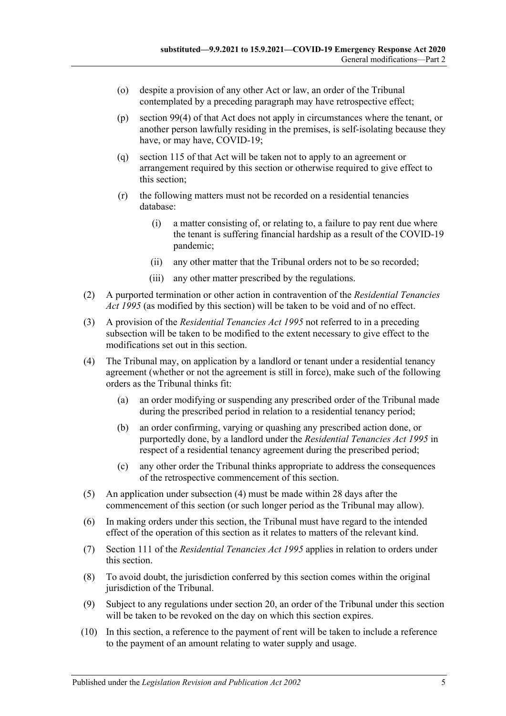- (o) despite a provision of any other Act or law, an order of the Tribunal contemplated by a preceding paragraph may have retrospective effect;
- (p) section 99(4) of that Act does not apply in circumstances where the tenant, or another person lawfully residing in the premises, is self-isolating because they have, or may have, COVID-19;
- (q) section 115 of that Act will be taken not to apply to an agreement or arrangement required by this section or otherwise required to give effect to this section;
- (r) the following matters must not be recorded on a residential tenancies database:
	- (i) a matter consisting of, or relating to, a failure to pay rent due where the tenant is suffering financial hardship as a result of the COVID-19 pandemic;
	- (ii) any other matter that the Tribunal orders not to be so recorded;
	- (iii) any other matter prescribed by the regulations.
- (2) A purported termination or other action in contravention of the *[Residential Tenancies](http://www.legislation.sa.gov.au/index.aspx?action=legref&type=act&legtitle=Residential%20Tenancies%20Act%201995)  Act [1995](http://www.legislation.sa.gov.au/index.aspx?action=legref&type=act&legtitle=Residential%20Tenancies%20Act%201995)* (as modified by this section) will be taken to be void and of no effect.
- (3) A provision of the *[Residential Tenancies Act](http://www.legislation.sa.gov.au/index.aspx?action=legref&type=act&legtitle=Residential%20Tenancies%20Act%201995) 1995* not referred to in a preceding subsection will be taken to be modified to the extent necessary to give effect to the modifications set out in this section.
- <span id="page-4-0"></span>(4) The Tribunal may, on application by a landlord or tenant under a residential tenancy agreement (whether or not the agreement is still in force), make such of the following orders as the Tribunal thinks fit:
	- (a) an order modifying or suspending any prescribed order of the Tribunal made during the prescribed period in relation to a residential tenancy period;
	- (b) an order confirming, varying or quashing any prescribed action done, or purportedly done, by a landlord under the *[Residential Tenancies Act](http://www.legislation.sa.gov.au/index.aspx?action=legref&type=act&legtitle=Residential%20Tenancies%20Act%201995) 1995* in respect of a residential tenancy agreement during the prescribed period;
	- (c) any other order the Tribunal thinks appropriate to address the consequences of the retrospective commencement of this section.
- (5) An application under [subsection](#page-4-0) (4) must be made within 28 days after the commencement of this section (or such longer period as the Tribunal may allow).
- (6) In making orders under this section, the Tribunal must have regard to the intended effect of the operation of this section as it relates to matters of the relevant kind.
- (7) Section 111 of the *[Residential Tenancies Act](http://www.legislation.sa.gov.au/index.aspx?action=legref&type=act&legtitle=Residential%20Tenancies%20Act%201995) 1995* applies in relation to orders under this section.
- (8) To avoid doubt, the jurisdiction conferred by this section comes within the original jurisdiction of the Tribunal.
- (9) Subject to any regulations under [section](#page-10-0) 20, an order of the Tribunal under this section will be taken to be revoked on the day on which this section expires.
- (10) In this section, a reference to the payment of rent will be taken to include a reference to the payment of an amount relating to water supply and usage.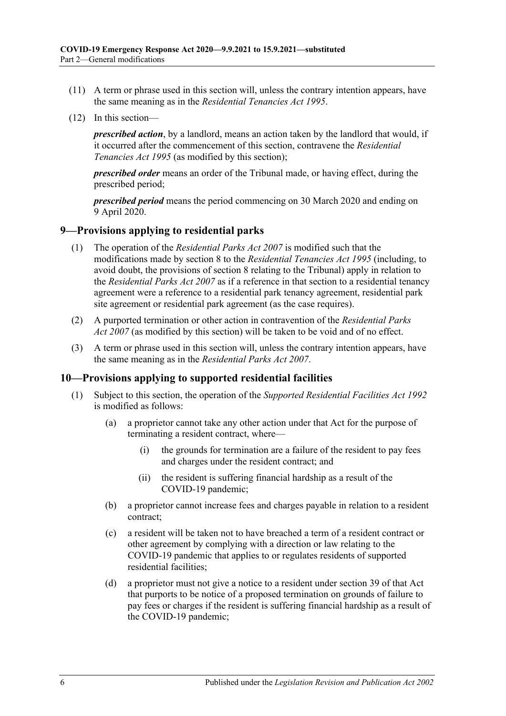- (11) A term or phrase used in this section will, unless the contrary intention appears, have the same meaning as in the *[Residential Tenancies Act](http://www.legislation.sa.gov.au/index.aspx?action=legref&type=act&legtitle=Residential%20Tenancies%20Act%201995) 1995*.
- (12) In this section—

*prescribed action*, by a landlord, means an action taken by the landlord that would, if it occurred after the commencement of this section, contravene the *[Residential](http://www.legislation.sa.gov.au/index.aspx?action=legref&type=act&legtitle=Residential%20Tenancies%20Act%201995)  [Tenancies Act](http://www.legislation.sa.gov.au/index.aspx?action=legref&type=act&legtitle=Residential%20Tenancies%20Act%201995) 1995* (as modified by this section);

*prescribed order* means an order of the Tribunal made, or having effect, during the prescribed period;

*prescribed period* means the period commencing on 30 March 2020 and ending on 9 April 2020.

#### <span id="page-5-0"></span>**9—Provisions applying to residential parks**

- (1) The operation of the *[Residential Parks Act](http://www.legislation.sa.gov.au/index.aspx?action=legref&type=act&legtitle=Residential%20Parks%20Act%202007) 2007* is modified such that the modifications made by section 8 to the *[Residential Tenancies Act](http://www.legislation.sa.gov.au/index.aspx?action=legref&type=act&legtitle=Residential%20Tenancies%20Act%201995) 1995* (including, to avoid doubt, the provisions of section 8 relating to the Tribunal) apply in relation to the *[Residential Parks Act](http://www.legislation.sa.gov.au/index.aspx?action=legref&type=act&legtitle=Residential%20Parks%20Act%202007) 2007* as if a reference in that section to a residential tenancy agreement were a reference to a residential park tenancy agreement, residential park site agreement or residential park agreement (as the case requires).
- (2) A purported termination or other action in contravention of the *[Residential Parks](http://www.legislation.sa.gov.au/index.aspx?action=legref&type=act&legtitle=Residential%20Parks%20Act%202007)  Act [2007](http://www.legislation.sa.gov.au/index.aspx?action=legref&type=act&legtitle=Residential%20Parks%20Act%202007)* (as modified by this section) will be taken to be void and of no effect.
- (3) A term or phrase used in this section will, unless the contrary intention appears, have the same meaning as in the *[Residential Parks Act](http://www.legislation.sa.gov.au/index.aspx?action=legref&type=act&legtitle=Residential%20Parks%20Act%202007) 2007*.

#### <span id="page-5-1"></span>**10—Provisions applying to supported residential facilities**

- (1) Subject to this section, the operation of the *[Supported Residential Facilities Act](http://www.legislation.sa.gov.au/index.aspx?action=legref&type=act&legtitle=Supported%20Residential%20Facilities%20Act%201992) 1992* is modified as follows:
	- (a) a proprietor cannot take any other action under that Act for the purpose of terminating a resident contract, where—
		- (i) the grounds for termination are a failure of the resident to pay fees and charges under the resident contract; and
		- (ii) the resident is suffering financial hardship as a result of the COVID-19 pandemic;
	- (b) a proprietor cannot increase fees and charges payable in relation to a resident contract;
	- (c) a resident will be taken not to have breached a term of a resident contract or other agreement by complying with a direction or law relating to the COVID-19 pandemic that applies to or regulates residents of supported residential facilities;
	- (d) a proprietor must not give a notice to a resident under section 39 of that Act that purports to be notice of a proposed termination on grounds of failure to pay fees or charges if the resident is suffering financial hardship as a result of the COVID-19 pandemic;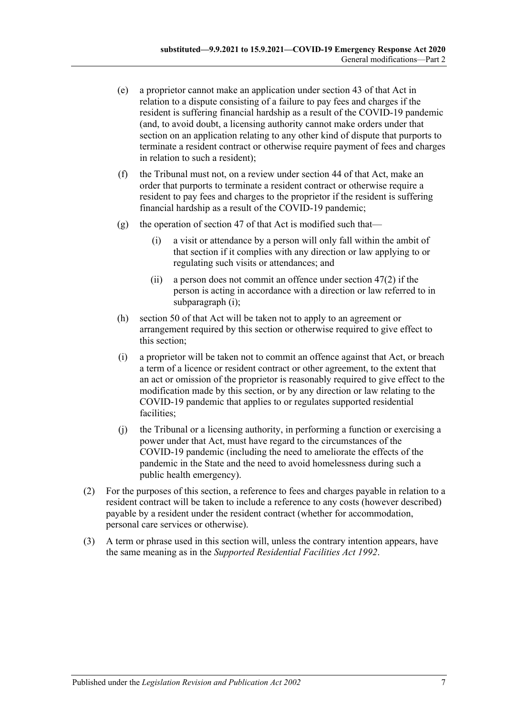- (e) a proprietor cannot make an application under section 43 of that Act in relation to a dispute consisting of a failure to pay fees and charges if the resident is suffering financial hardship as a result of the COVID-19 pandemic (and, to avoid doubt, a licensing authority cannot make orders under that section on an application relating to any other kind of dispute that purports to terminate a resident contract or otherwise require payment of fees and charges in relation to such a resident);
- (f) the Tribunal must not, on a review under section 44 of that Act, make an order that purports to terminate a resident contract or otherwise require a resident to pay fees and charges to the proprietor if the resident is suffering financial hardship as a result of the COVID-19 pandemic;
- <span id="page-6-0"></span>(g) the operation of section 47 of that Act is modified such that—
	- (i) a visit or attendance by a person will only fall within the ambit of that section if it complies with any direction or law applying to or regulating such visits or attendances; and
	- (ii) a person does not commit an offence under section 47(2) if the person is acting in accordance with a direction or law referred to in [subparagraph](#page-6-0) (i);
- (h) section 50 of that Act will be taken not to apply to an agreement or arrangement required by this section or otherwise required to give effect to this section;
- (i) a proprietor will be taken not to commit an offence against that Act, or breach a term of a licence or resident contract or other agreement, to the extent that an act or omission of the proprietor is reasonably required to give effect to the modification made by this section, or by any direction or law relating to the COVID-19 pandemic that applies to or regulates supported residential facilities:
- (j) the Tribunal or a licensing authority, in performing a function or exercising a power under that Act, must have regard to the circumstances of the COVID-19 pandemic (including the need to ameliorate the effects of the pandemic in the State and the need to avoid homelessness during such a public health emergency).
- (2) For the purposes of this section, a reference to fees and charges payable in relation to a resident contract will be taken to include a reference to any costs (however described) payable by a resident under the resident contract (whether for accommodation, personal care services or otherwise).
- (3) A term or phrase used in this section will, unless the contrary intention appears, have the same meaning as in the *[Supported Residential Facilities Act](http://www.legislation.sa.gov.au/index.aspx?action=legref&type=act&legtitle=Supported%20Residential%20Facilities%20Act%201992) 1992*.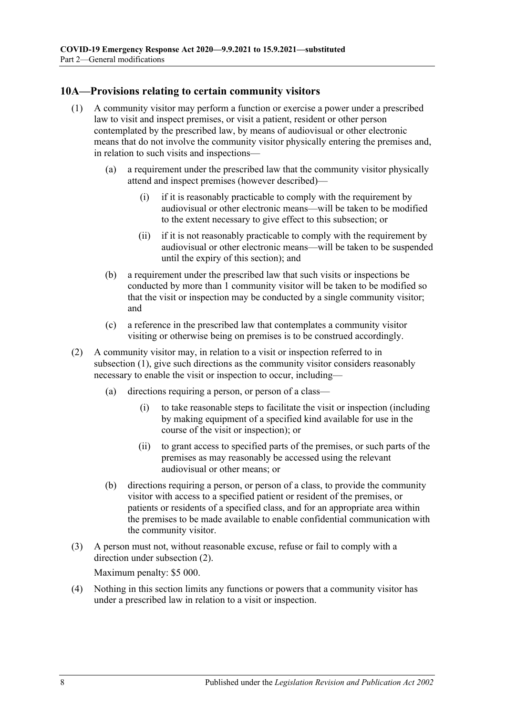#### <span id="page-7-1"></span><span id="page-7-0"></span>**10A—Provisions relating to certain community visitors**

- (1) A community visitor may perform a function or exercise a power under a prescribed law to visit and inspect premises, or visit a patient, resident or other person contemplated by the prescribed law, by means of audiovisual or other electronic means that do not involve the community visitor physically entering the premises and, in relation to such visits and inspections—
	- (a) a requirement under the prescribed law that the community visitor physically attend and inspect premises (however described)—
		- (i) if it is reasonably practicable to comply with the requirement by audiovisual or other electronic means—will be taken to be modified to the extent necessary to give effect to this subsection; or
		- (ii) if it is not reasonably practicable to comply with the requirement by audiovisual or other electronic means—will be taken to be suspended until the expiry of this section); and
	- (b) a requirement under the prescribed law that such visits or inspections be conducted by more than 1 community visitor will be taken to be modified so that the visit or inspection may be conducted by a single community visitor; and
	- (c) a reference in the prescribed law that contemplates a community visitor visiting or otherwise being on premises is to be construed accordingly.
- <span id="page-7-2"></span>(2) A community visitor may, in relation to a visit or inspection referred to in [subsection](#page-7-1) (1), give such directions as the community visitor considers reasonably necessary to enable the visit or inspection to occur, including—
	- (a) directions requiring a person, or person of a class—
		- (i) to take reasonable steps to facilitate the visit or inspection (including by making equipment of a specified kind available for use in the course of the visit or inspection); or
		- (ii) to grant access to specified parts of the premises, or such parts of the premises as may reasonably be accessed using the relevant audiovisual or other means; or
	- (b) directions requiring a person, or person of a class, to provide the community visitor with access to a specified patient or resident of the premises, or patients or residents of a specified class, and for an appropriate area within the premises to be made available to enable confidential communication with the community visitor.
- (3) A person must not, without reasonable excuse, refuse or fail to comply with a direction under [subsection](#page-7-2) (2).

Maximum penalty: \$5 000.

(4) Nothing in this section limits any functions or powers that a community visitor has under a prescribed law in relation to a visit or inspection.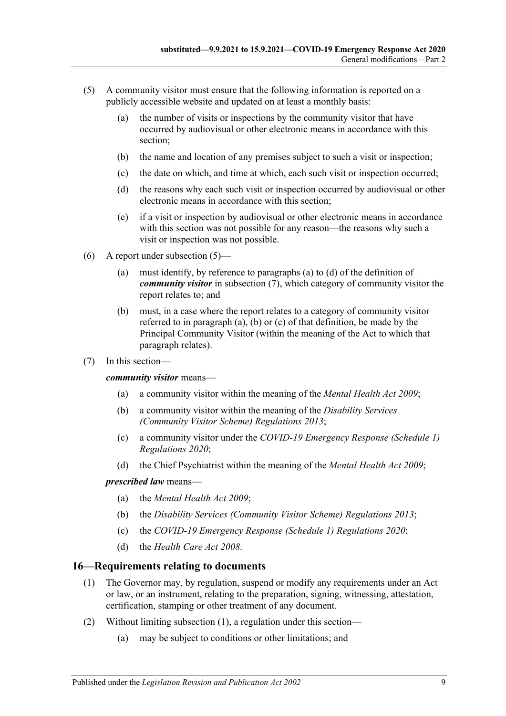- <span id="page-8-1"></span>(5) A community visitor must ensure that the following information is reported on a publicly accessible website and updated on at least a monthly basis:
	- (a) the number of visits or inspections by the community visitor that have occurred by audiovisual or other electronic means in accordance with this section;
	- (b) the name and location of any premises subject to such a visit or inspection;
	- (c) the date on which, and time at which, each such visit or inspection occurred;
	- (d) the reasons why each such visit or inspection occurred by audiovisual or other electronic means in accordance with this section;
	- (e) if a visit or inspection by audiovisual or other electronic means in accordance with this section was not possible for any reason—the reasons why such a visit or inspection was not possible.
- <span id="page-8-2"></span>(6) A report under [subsection](#page-8-1) (5)—
	- (a) must identify, by reference to [paragraphs](#page-8-3) (a) to [\(d\)](#page-8-4) of the definition of *community visitor* in [subsection](#page-8-5) (7), which category of community visitor the report relates to; and
	- (b) must, in a case where the report relates to a category of community visitor referred to in [paragraph](#page-8-3) (a), [\(b\)](#page-8-6) or [\(c\)](#page-8-7) of that definition, be made by the Principal Community Visitor (within the meaning of the Act to which that paragraph relates).
- <span id="page-8-5"></span><span id="page-8-3"></span>(7) In this section—

<span id="page-8-6"></span>*community visitor* means—

- (a) a community visitor within the meaning of the *[Mental Health Act](http://www.legislation.sa.gov.au/index.aspx?action=legref&type=act&legtitle=Mental%20Health%20Act%202009) 2009*;
- (b) a community visitor within the meaning of the *[Disability Services](http://www.legislation.sa.gov.au/index.aspx?action=legref&type=subordleg&legtitle=Disability%20Services%20(Community%20Visitor%20Scheme)%20Regulations%202013)  [\(Community Visitor Scheme\) Regulations](http://www.legislation.sa.gov.au/index.aspx?action=legref&type=subordleg&legtitle=Disability%20Services%20(Community%20Visitor%20Scheme)%20Regulations%202013) 2013*;
- <span id="page-8-7"></span>(c) a community visitor under the *[COVID-19 Emergency Response \(Schedule](http://www.legislation.sa.gov.au/index.aspx?action=legref&type=subordleg&legtitle=COVID-19%20Emergency%20Response%20(Schedule%201)%20Regulations%202020) 1) [Regulations](http://www.legislation.sa.gov.au/index.aspx?action=legref&type=subordleg&legtitle=COVID-19%20Emergency%20Response%20(Schedule%201)%20Regulations%202020) 2020*;
- (d) the Chief Psychiatrist within the meaning of the *[Mental Health Act](http://www.legislation.sa.gov.au/index.aspx?action=legref&type=act&legtitle=Mental%20Health%20Act%202009) 2009*;

#### <span id="page-8-4"></span>*prescribed law* means—

- (a) the *[Mental Health Act 2009](http://www.legislation.sa.gov.au/index.aspx?action=legref&type=act&legtitle=Mental%20Health%20Act%202009)*;
- (b) the *[Disability Services \(Community Visitor Scheme\) Regulations](http://www.legislation.sa.gov.au/index.aspx?action=legref&type=subordleg&legtitle=Disability%20Services%20(Community%20Visitor%20Scheme)%20Regulations%202013) 2013*;
- (c) the *[COVID-19 Emergency Response \(Schedule 1\) Regulations](http://www.legislation.sa.gov.au/index.aspx?action=legref&type=subordleg&legtitle=COVID-19%20Emergency%20Response%20(Schedule%201)%20Regulations%202020) 2020*;
- (d) the *[Health Care Act](http://www.legislation.sa.gov.au/index.aspx?action=legref&type=act&legtitle=Health%20Care%20Act%202008) 2008*.

#### <span id="page-8-8"></span><span id="page-8-0"></span>**16—Requirements relating to documents**

- (1) The Governor may, by regulation, suspend or modify any requirements under an Act or law, or an instrument, relating to the preparation, signing, witnessing, attestation, certification, stamping or other treatment of any document.
- (2) Without limiting [subsection](#page-8-8) (1), a regulation under this section—
	- (a) may be subject to conditions or other limitations; and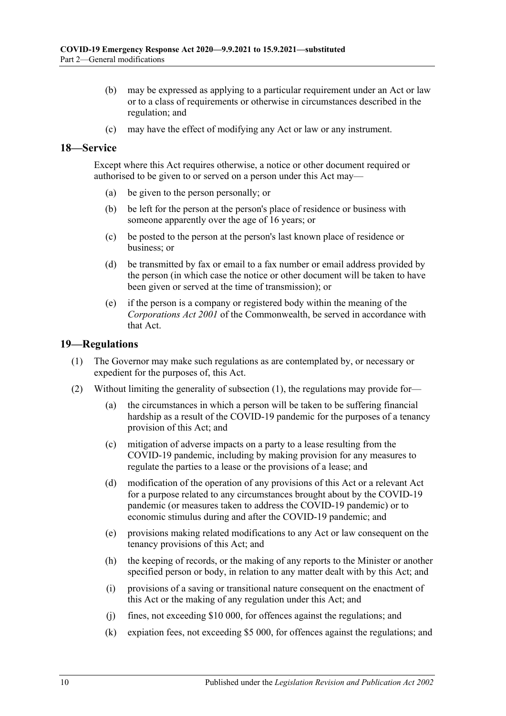- (b) may be expressed as applying to a particular requirement under an Act or law or to a class of requirements or otherwise in circumstances described in the regulation; and
- (c) may have the effect of modifying any Act or law or any instrument.

#### <span id="page-9-0"></span>**18—Service**

Except where this Act requires otherwise, a notice or other document required or authorised to be given to or served on a person under this Act may—

- (a) be given to the person personally; or
- (b) be left for the person at the person's place of residence or business with someone apparently over the age of 16 years; or
- (c) be posted to the person at the person's last known place of residence or business; or
- (d) be transmitted by fax or email to a fax number or email address provided by the person (in which case the notice or other document will be taken to have been given or served at the time of transmission); or
- (e) if the person is a company or registered body within the meaning of the *Corporations Act 2001* of the Commonwealth, be served in accordance with that Act.

#### <span id="page-9-2"></span><span id="page-9-1"></span>**19—Regulations**

- (1) The Governor may make such regulations as are contemplated by, or necessary or expedient for the purposes of, this Act.
- (2) Without limiting the generality of [subsection](#page-9-2) (1), the regulations may provide for—
	- (a) the circumstances in which a person will be taken to be suffering financial hardship as a result of the COVID-19 pandemic for the purposes of a tenancy provision of this Act; and
	- (c) mitigation of adverse impacts on a party to a lease resulting from the COVID-19 pandemic, including by making provision for any measures to regulate the parties to a lease or the provisions of a lease; and
	- (d) modification of the operation of any provisions of this Act or a relevant Act for a purpose related to any circumstances brought about by the COVID-19 pandemic (or measures taken to address the COVID-19 pandemic) or to economic stimulus during and after the COVID-19 pandemic; and
	- (e) provisions making related modifications to any Act or law consequent on the tenancy provisions of this Act; and
	- (h) the keeping of records, or the making of any reports to the Minister or another specified person or body, in relation to any matter dealt with by this Act; and
	- (i) provisions of a saving or transitional nature consequent on the enactment of this Act or the making of any regulation under this Act; and
	- (j) fines, not exceeding \$10 000, for offences against the regulations; and
	- (k) expiation fees, not exceeding \$5 000, for offences against the regulations; and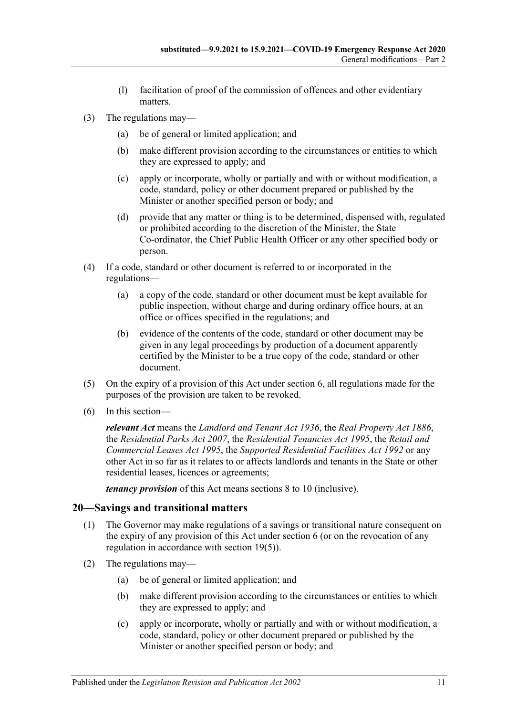- (l) facilitation of proof of the commission of offences and other evidentiary matters.
- (3) The regulations may—
	- (a) be of general or limited application; and
	- (b) make different provision according to the circumstances or entities to which they are expressed to apply; and
	- (c) apply or incorporate, wholly or partially and with or without modification, a code, standard, policy or other document prepared or published by the Minister or another specified person or body; and
	- (d) provide that any matter or thing is to be determined, dispensed with, regulated or prohibited according to the discretion of the Minister, the State Co-ordinator, the Chief Public Health Officer or any other specified body or person.
- (4) If a code, standard or other document is referred to or incorporated in the regulations—
	- (a) a copy of the code, standard or other document must be kept available for public inspection, without charge and during ordinary office hours, at an office or offices specified in the regulations; and
	- (b) evidence of the contents of the code, standard or other document may be given in any legal proceedings by production of a document apparently certified by the Minister to be a true copy of the code, standard or other document.
- <span id="page-10-1"></span>(5) On the expiry of a provision of this Act under [section](#page-1-6) 6, all regulations made for the purposes of the provision are taken to be revoked.
- (6) In this section—

*relevant Act* means the *[Landlord and Tenant Act](http://www.legislation.sa.gov.au/index.aspx?action=legref&type=act&legtitle=Landlord%20and%20Tenant%20Act%201936) 1936*, the *[Real Property Act](http://www.legislation.sa.gov.au/index.aspx?action=legref&type=act&legtitle=Real%20Property%20Act%201886) 1886*, the *[Residential Parks Act](http://www.legislation.sa.gov.au/index.aspx?action=legref&type=act&legtitle=Residential%20Parks%20Act%202007) 2007*, the *[Residential Tenancies Act](http://www.legislation.sa.gov.au/index.aspx?action=legref&type=act&legtitle=Residential%20Tenancies%20Act%201995) 1995*, the *[Retail and](http://www.legislation.sa.gov.au/index.aspx?action=legref&type=act&legtitle=Retail%20and%20Commercial%20Leases%20Act%201995)  [Commercial Leases Act](http://www.legislation.sa.gov.au/index.aspx?action=legref&type=act&legtitle=Retail%20and%20Commercial%20Leases%20Act%201995) 1995*, the *[Supported Residential Facilities Act](http://www.legislation.sa.gov.au/index.aspx?action=legref&type=act&legtitle=Supported%20Residential%20Facilities%20Act%201992) 1992* or any other Act in so far as it relates to or affects landlords and tenants in the State or other residential leases, licences or agreements;

*tenancy provision* of this Act means sections 8 to 10 (inclusive).

#### <span id="page-10-0"></span>**20—Savings and transitional matters**

- (1) The Governor may make regulations of a savings or transitional nature consequent on the expiry of any provision of this Act under [section](#page-1-6) 6 (or on the revocation of any regulation in accordance with [section](#page-10-1) 19(5)).
- (2) The regulations may—
	- (a) be of general or limited application; and
	- (b) make different provision according to the circumstances or entities to which they are expressed to apply; and
	- (c) apply or incorporate, wholly or partially and with or without modification, a code, standard, policy or other document prepared or published by the Minister or another specified person or body; and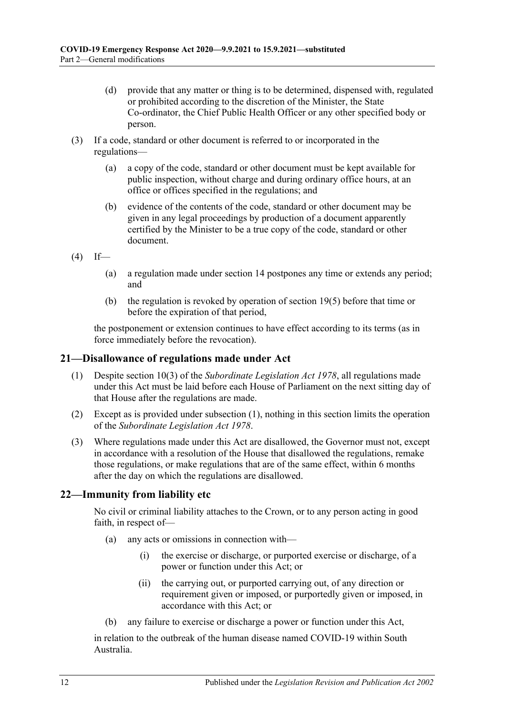- (d) provide that any matter or thing is to be determined, dispensed with, regulated or prohibited according to the discretion of the Minister, the State Co-ordinator, the Chief Public Health Officer or any other specified body or person.
- (3) If a code, standard or other document is referred to or incorporated in the regulations—
	- (a) a copy of the code, standard or other document must be kept available for public inspection, without charge and during ordinary office hours, at an office or offices specified in the regulations; and
	- (b) evidence of the contents of the code, standard or other document may be given in any legal proceedings by production of a document apparently certified by the Minister to be a true copy of the code, standard or other document.
- $(4)$  If—
	- (a) a regulation made under section 14 postpones any time or extends any period; and
	- (b) the regulation is revoked by operation of [section](#page-10-1) 19(5) before that time or before the expiration of that period,

the postponement or extension continues to have effect according to its terms (as in force immediately before the revocation).

#### <span id="page-11-2"></span><span id="page-11-0"></span>**21—Disallowance of regulations made under Act**

- (1) Despite section 10(3) of the *[Subordinate Legislation Act](http://www.legislation.sa.gov.au/index.aspx?action=legref&type=act&legtitle=Subordinate%20Legislation%20Act%201978) 1978*, all regulations made under this Act must be laid before each House of Parliament on the next sitting day of that House after the regulations are made.
- (2) Except as is provided under [subsection](#page-11-2) (1), nothing in this section limits the operation of the *[Subordinate Legislation Act](http://www.legislation.sa.gov.au/index.aspx?action=legref&type=act&legtitle=Subordinate%20Legislation%20Act%201978) 1978*.
- (3) Where regulations made under this Act are disallowed, the Governor must not, except in accordance with a resolution of the House that disallowed the regulations, remake those regulations, or make regulations that are of the same effect, within 6 months after the day on which the regulations are disallowed.

#### <span id="page-11-1"></span>**22—Immunity from liability etc**

No civil or criminal liability attaches to the Crown, or to any person acting in good faith, in respect of—

- (a) any acts or omissions in connection with—
	- (i) the exercise or discharge, or purported exercise or discharge, of a power or function under this Act; or
	- (ii) the carrying out, or purported carrying out, of any direction or requirement given or imposed, or purportedly given or imposed, in accordance with this Act; or
- (b) any failure to exercise or discharge a power or function under this Act,

in relation to the outbreak of the human disease named COVID-19 within South Australia.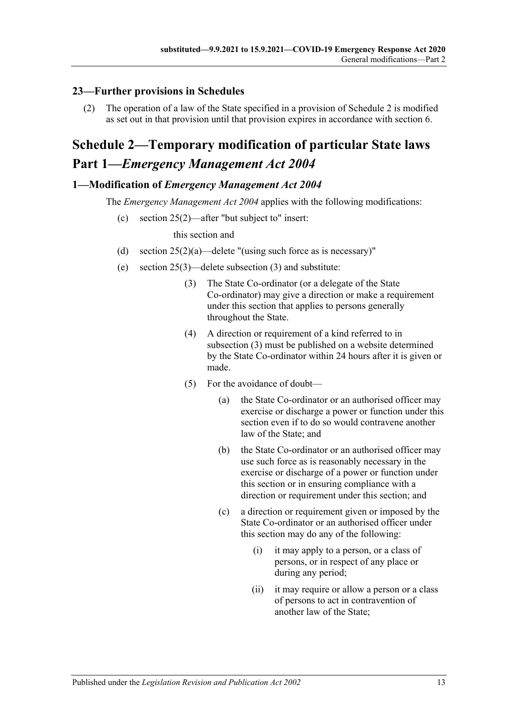## <span id="page-12-0"></span>**23—Further provisions in Schedules**

(2) The operation of a law of the State specified in a provision of [Schedule](#page-12-1) 2 is modified as set out in that provision until that provision expires in accordance with [section](#page-1-6) 6.

## <span id="page-12-1"></span>**Schedule 2—Temporary modification of particular State laws Part 1—***Emergency Management Act 2004*

### <span id="page-12-2"></span>**1—Modification of** *Emergency Management Act 2004*

The *[Emergency Management Act](http://www.legislation.sa.gov.au/index.aspx?action=legref&type=act&legtitle=Emergency%20Management%20Act%202004) 2004* applies with the following modifications:

(c) section 25(2)—after "but subject to" insert:

this section and

- (d) section  $25(2)(a)$ —delete "(using such force as is necessary)"
- <span id="page-12-3"></span>(e) section 25(3)—delete subsection (3) and substitute:
	- (3) The State Co-ordinator (or a delegate of the State Co-ordinator) may give a direction or make a requirement under this section that applies to persons generally throughout the State.
	- (4) A direction or requirement of a kind referred to in [subsection](#page-12-3) (3) must be published on a website determined by the State Co-ordinator within 24 hours after it is given or made.
	- (5) For the avoidance of doubt—
		- (a) the State Co-ordinator or an authorised officer may exercise or discharge a power or function under this section even if to do so would contravene another law of the State; and
		- (b) the State Co-ordinator or an authorised officer may use such force as is reasonably necessary in the exercise or discharge of a power or function under this section or in ensuring compliance with a direction or requirement under this section; and
		- (c) a direction or requirement given or imposed by the State Co-ordinator or an authorised officer under this section may do any of the following:
			- (i) it may apply to a person, or a class of persons, or in respect of any place or during any period;
			- (ii) it may require or allow a person or a class of persons to act in contravention of another law of the State;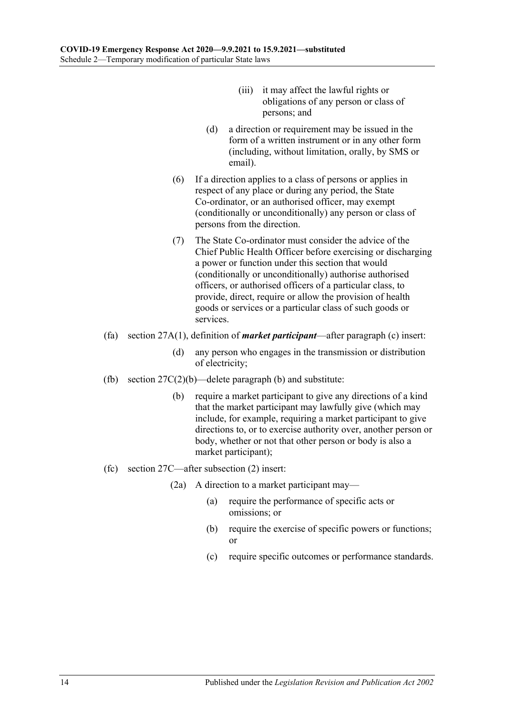- (iii) it may affect the lawful rights or obligations of any person or class of persons; and
- (d) a direction or requirement may be issued in the form of a written instrument or in any other form (including, without limitation, orally, by SMS or email).
- (6) If a direction applies to a class of persons or applies in respect of any place or during any period, the State Co-ordinator, or an authorised officer, may exempt (conditionally or unconditionally) any person or class of persons from the direction.
- (7) The State Co-ordinator must consider the advice of the Chief Public Health Officer before exercising or discharging a power or function under this section that would (conditionally or unconditionally) authorise authorised officers, or authorised officers of a particular class, to provide, direct, require or allow the provision of health goods or services or a particular class of such goods or services.
- (fa) section 27A(1), definition of *market participant*—after paragraph (c) insert:
	- (d) any person who engages in the transmission or distribution of electricity;
- (fb) section  $27C(2)(b)$ —delete paragraph (b) and substitute:
	- (b) require a market participant to give any directions of a kind that the market participant may lawfully give (which may include, for example, requiring a market participant to give directions to, or to exercise authority over, another person or body, whether or not that other person or body is also a market participant);
- (fc) section 27C—after subsection (2) insert:
	- (2a) A direction to a market participant may—
		- (a) require the performance of specific acts or omissions; or
		- (b) require the exercise of specific powers or functions; or
		- (c) require specific outcomes or performance standards.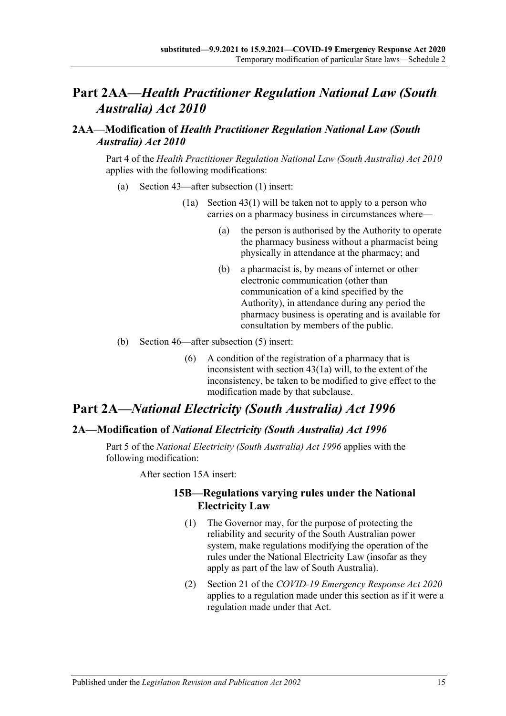## **Part 2AA—***Health Practitioner Regulation National Law (South Australia) Act 2010*

### <span id="page-14-0"></span>**2AA—Modification of** *Health Practitioner Regulation National Law (South Australia) Act 2010*

Part 4 of the *[Health Practitioner Regulation National Law \(South Australia\) Act](http://www.legislation.sa.gov.au/index.aspx?action=legref&type=act&legtitle=Health%20Practitioner%20Regulation%20National%20Law%20(South%20Australia)%20Act%202010) 2010* applies with the following modifications:

- (a) Section 43—after subsection (1) insert:
	- (1a) Section 43(1) will be taken not to apply to a person who carries on a pharmacy business in circumstances where—
		- (a) the person is authorised by the Authority to operate the pharmacy business without a pharmacist being physically in attendance at the pharmacy; and
		- (b) a pharmacist is, by means of internet or other electronic communication (other than communication of a kind specified by the Authority), in attendance during any period the pharmacy business is operating and is available for consultation by members of the public.
- (b) Section 46—after subsection (5) insert:
	- (6) A condition of the registration of a pharmacy that is inconsistent with section 43(1a) will, to the extent of the inconsistency, be taken to be modified to give effect to the modification made by that subclause.

## **Part 2A—***National Electricity (South Australia) Act 1996*

### <span id="page-14-1"></span>**2A—Modification of** *National Electricity (South Australia) Act 1996*

Part 5 of the *[National Electricity \(South Australia\) Act](http://www.legislation.sa.gov.au/index.aspx?action=legref&type=act&legtitle=National%20Electricity%20(South%20Australia)%20Act%201996) 1996* applies with the following modification:

After section 15A insert:

#### **15B—Regulations varying rules under the National Electricity Law**

- (1) The Governor may, for the purpose of protecting the reliability and security of the South Australian power system, make regulations modifying the operation of the rules under the National Electricity Law (insofar as they apply as part of the law of South Australia).
- (2) Section 21 of the *[COVID-19 Emergency Response Act](http://www.legislation.sa.gov.au/index.aspx?action=legref&type=act&legtitle=COVID-19%20Emergency%20Response%20Act%202020) 2020* applies to a regulation made under this section as if it were a regulation made under that Act.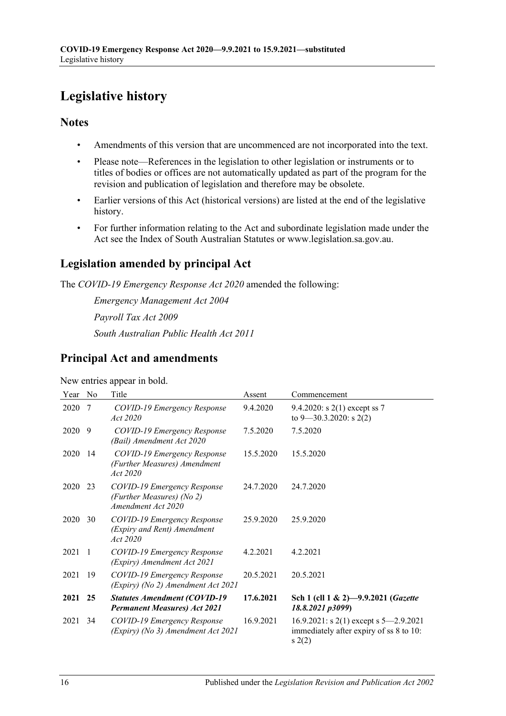## <span id="page-15-0"></span>**Legislative history**

### **Notes**

- Amendments of this version that are uncommenced are not incorporated into the text.
- Please note—References in the legislation to other legislation or instruments or to titles of bodies or offices are not automatically updated as part of the program for the revision and publication of legislation and therefore may be obsolete.
- Earlier versions of this Act (historical versions) are listed at the end of the legislative history.
- For further information relating to the Act and subordinate legislation made under the Act see the Index of South Australian Statutes or www.legislation.sa.gov.au.

## **Legislation amended by principal Act**

The *COVID-19 Emergency Response Act 2020* amended the following:

*Emergency Management Act 2004 Payroll Tax Act 2009 South Australian Public Health Act 2011*

## **Principal Act and amendments**

New entries appear in bold.

| Year | N <sub>0</sub> | Title                                                                          | Assent    | Commencement                                                                               |
|------|----------------|--------------------------------------------------------------------------------|-----------|--------------------------------------------------------------------------------------------|
| 2020 | -7             | COVID-19 Emergency Response<br>Act 2020                                        | 9.4.2020  | 9.4.2020: s 2(1) except ss 7<br>to $9 - 30.3.2020$ : s 2(2)                                |
| 2020 | 9              | COVID-19 Emergency Response<br>(Bail) Amendment Act 2020                       | 7.5.2020  | 7.5.2020                                                                                   |
| 2020 | 14             | COVID-19 Emergency Response<br>(Further Measures) Amendment<br>Act 2020        | 15.5.2020 | 15.5.2020                                                                                  |
| 2020 | 23             | COVID-19 Emergency Response<br>(Further Measures) (No 2)<br>Amendment Act 2020 | 24.7.2020 | 24.7.2020                                                                                  |
| 2020 | 30             | COVID-19 Emergency Response<br>(Expiry and Rent) Amendment<br>Act 2020         | 25.9.2020 | 25.9.2020                                                                                  |
| 2021 | - 1            | COVID-19 Emergency Response<br>(Expiry) Amendment Act 2021                     | 4.2.2021  | 4.2.2021                                                                                   |
| 2021 | 19             | COVID-19 Emergency Response<br>(Expiry) (No 2) Amendment Act 2021              | 20.5.2021 | 20.5.2021                                                                                  |
| 2021 | 25             | <b>Statutes Amendment (COVID-19</b><br><b>Permanent Measures) Act 2021</b>     | 17.6.2021 | Sch 1 (cll 1 & 2)-9.9.2021 (Gazette<br>18.8.2021 p3099)                                    |
| 2021 | 34             | COVID-19 Emergency Response<br>(Expiry) (No 3) Amendment Act 2021              | 16.9.2021 | 16.9.2021: s 2(1) except s $5-2.9.2021$<br>immediately after expiry of ss 8 to 10:<br>s(2) |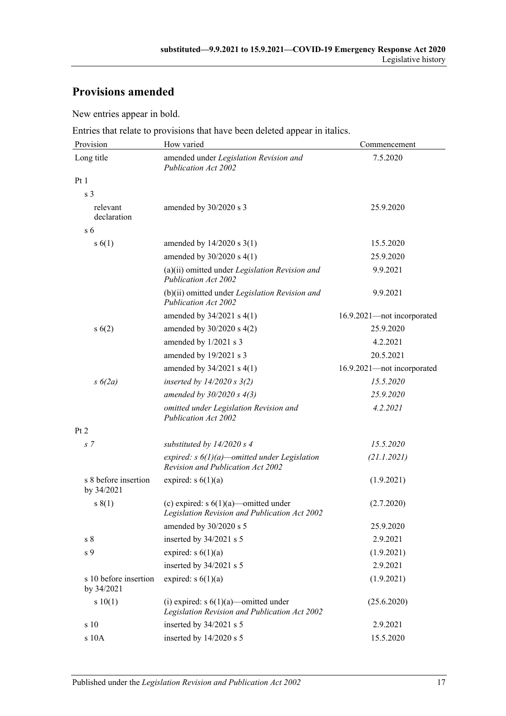## **Provisions amended**

New entries appear in bold.

Entries that relate to provisions that have been deleted appear in italics.

| Provision                           | How varied                                                                                      | Commencement               |  |
|-------------------------------------|-------------------------------------------------------------------------------------------------|----------------------------|--|
| Long title                          | amended under Legislation Revision and<br><b>Publication Act 2002</b>                           | 7.5.2020                   |  |
| Pt1                                 |                                                                                                 |                            |  |
| s <sub>3</sub>                      |                                                                                                 |                            |  |
| relevant<br>declaration             | amended by 30/2020 s 3                                                                          | 25.9.2020                  |  |
| s <sub>6</sub>                      |                                                                                                 |                            |  |
| s(6(1))                             | amended by $14/2020$ s $3(1)$                                                                   | 15.5.2020                  |  |
|                                     | amended by $30/2020$ s 4(1)                                                                     | 25.9.2020                  |  |
|                                     | (a)(ii) omitted under Legislation Revision and<br><b>Publication Act 2002</b>                   | 9.9.2021                   |  |
|                                     | (b)(ii) omitted under Legislation Revision and<br>Publication Act 2002                          | 9.9.2021                   |  |
|                                     | amended by $34/2021$ s $4(1)$                                                                   | 16.9.2021-not incorporated |  |
| s(6(2))                             | amended by 30/2020 s 4(2)                                                                       | 25.9.2020                  |  |
|                                     | amended by $1/2021$ s 3                                                                         | 4.2.2021                   |  |
|                                     | amended by 19/2021 s 3                                                                          | 20.5.2021                  |  |
|                                     | amended by $34/2021$ s $4(1)$                                                                   | 16.9.2021-not incorporated |  |
| $s\ 6(2a)$                          | inserted by $14/2020$ s $3(2)$                                                                  | 15.5.2020                  |  |
|                                     | amended by $30/2020 s 4(3)$                                                                     | 25.9.2020                  |  |
|                                     | omitted under Legislation Revision and<br><b>Publication Act 2002</b>                           | 4.2.2021                   |  |
| Pt 2                                |                                                                                                 |                            |  |
| s 7                                 | substituted by $14/2020 s 4$                                                                    | 15.5.2020                  |  |
|                                     | expired: $s \frac{6}{1}(a)$ -omitted under Legislation<br>Revision and Publication Act 2002     | (21.1.2021)                |  |
| s 8 before insertion<br>by 34/2021  | expired: $s 6(1)(a)$                                                                            | (1.9.2021)                 |  |
| s(1)                                | (c) expired: $s \ 6(1)(a)$ —omitted under<br>Legislation Revision and Publication Act 2002      | (2.7.2020)                 |  |
|                                     | amended by 30/2020 s 5                                                                          | 25.9.2020                  |  |
| $\sqrt{s}$ 8                        | inserted by 34/2021 s 5                                                                         | 2.9.2021                   |  |
| s 9                                 | expired: $s 6(1)(a)$                                                                            | (1.9.2021)                 |  |
|                                     | inserted by 34/2021 s 5                                                                         | 2.9.2021                   |  |
| s 10 before insertion<br>by 34/2021 | expired: $s 6(1)(a)$                                                                            | (1.9.2021)                 |  |
| s 10(1)                             | (i) expired: $s \frac{6}{1}(a)$ -omitted under<br>Legislation Revision and Publication Act 2002 | (25.6.2020)                |  |
| s 10                                | inserted by 34/2021 s 5                                                                         | 2.9.2021                   |  |
| s 10A                               | inserted by 14/2020 s 5                                                                         | 15.5.2020                  |  |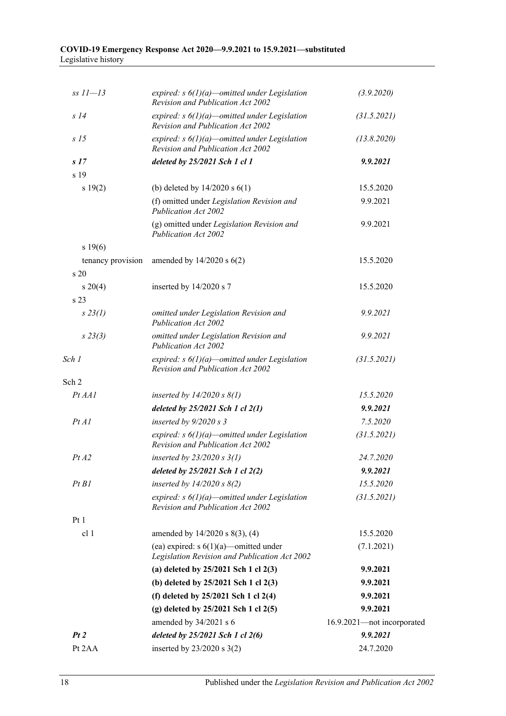| $ss 11 - 13$                       | expired: $s \frac{6}{l}$ )(a)—omitted under Legislation<br>Revision and Publication Act 2002        | (3.9.2020)                 |
|------------------------------------|-----------------------------------------------------------------------------------------------------|----------------------------|
| S <sub>14</sub>                    | expired: $s \frac{6}{l}$ )(a)—omitted under Legislation<br><b>Revision and Publication Act 2002</b> | (31.5.2021)                |
| s/5                                | expired: $s \frac{6}{1}(a)$ – omitted under Legislation<br>Revision and Publication Act 2002        | (13.8.2020)                |
| s 17                               | deleted by $25/2021$ Sch 1 cl 1                                                                     | 9.9.2021                   |
| s 19                               |                                                                                                     |                            |
| s 19(2)                            | (b) deleted by $14/2020$ s $6(1)$                                                                   | 15.5.2020                  |
|                                    | (f) omitted under Legislation Revision and<br><b>Publication Act 2002</b>                           | 9.9.2021                   |
|                                    | (g) omitted under Legislation Revision and<br>Publication Act 2002                                  | 9.9.2021                   |
| s 19(6)                            |                                                                                                     |                            |
| tenancy provision<br>$\frac{1}{2}$ | amended by $14/2020$ s $6(2)$                                                                       | 15.5.2020                  |
| $s \ 20(4)$                        | inserted by 14/2020 s 7                                                                             | 15.5.2020                  |
| s 23                               |                                                                                                     |                            |
| $s\,23(1)$                         | omitted under Legislation Revision and<br><b>Publication Act 2002</b>                               | 9.9.2021                   |
| $s\,23(3)$                         | omitted under Legislation Revision and<br><b>Publication Act 2002</b>                               | 9.9.2021                   |
| Sch 1                              | expired: $s \frac{6}{1}(a)$ -omitted under Legislation<br>Revision and Publication Act 2002         | (31.5.2021)                |
| Sch 2                              |                                                                                                     |                            |
| Pt AA1                             | inserted by $14/2020$ s $8(1)$                                                                      | 15.5.2020                  |
|                                    | deleted by $25/2021$ Sch 1 cl $2(1)$                                                                | 9.9.2021                   |
| PtAI                               | inserted by $9/2020 s3$                                                                             | 7.5.2020                   |
|                                    | expired: $s \frac{6}{1}(a)$ -omitted under Legislation<br><b>Revision and Publication Act 2002</b>  | (31.5.2021)                |
| PtA2                               | inserted by $23/2020$ s $3(1)$                                                                      | 24.7.2020                  |
|                                    | deleted by $25/2021$ Sch 1 cl $2(2)$                                                                | 9.9.2021                   |
| PtB1                               | inserted by $14/2020$ s $8(2)$                                                                      | 15.5.2020                  |
|                                    | expired: $s \frac{6}{1}(a)$ -omitted under Legislation<br><b>Revision and Publication Act 2002</b>  | (31.5.2021)                |
| Pt <sub>1</sub>                    |                                                                                                     |                            |
| cl 1                               | amended by $14/2020$ s $8(3)$ , (4)                                                                 | 15.5.2020                  |
|                                    | (ea) expired: $s \frac{6(1)}{a}$ -omitted under<br>Legislation Revision and Publication Act 2002    | (7.1.2021)                 |
|                                    | (a) deleted by $25/2021$ Sch 1 cl $2(3)$                                                            | 9.9.2021                   |
|                                    | (b) deleted by $25/2021$ Sch 1 cl $2(3)$                                                            | 9.9.2021                   |
|                                    | (f) deleted by $25/2021$ Sch 1 cl $2(4)$                                                            | 9.9.2021                   |
|                                    | (g) deleted by 25/2021 Sch 1 cl 2(5)                                                                | 9.9.2021                   |
|                                    | amended by 34/2021 s 6                                                                              | 16.9.2021-not incorporated |
| Pt2                                | deleted by $25/2021$ Sch 1 cl $2(6)$                                                                | 9.9.2021                   |
| Pt 2AA                             | inserted by $23/2020$ s $3(2)$                                                                      | 24.7.2020                  |